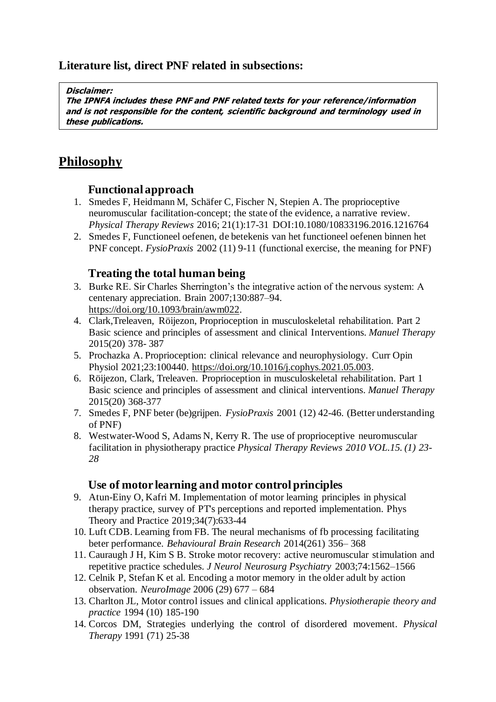# **Literature list, direct PNF related in subsections:**

#### **Disclaimer:**

**The IPNFA includes these PNF and PNF related texts for your reference/information and is not responsible for the content, scientific background and terminology used in these publications.**

# **Philosophy**

#### **Functional approach**

- 1. Smedes F, Heidmann M, Schäfer C, Fischer N, Stepien A. The proprioceptive neuromuscular facilitation-concept; the state of the evidence, a narrative review. *Physical Therapy Reviews* 2016; 21(1):17-31 DOI:10.1080/10833196.2016.1216764
- 2. Smedes F, Functioneel oefenen, de betekenis van het functioneel oefenen binnen het PNF concept. *FysioPraxis* 2002 (11) 9-11 (functional exercise, the meaning for PNF)

## **Treating the total human being**

- 3. Burke RE. Sir Charles Sherrington's the integrative action of the nervous system: A centenary appreciation. Brain 2007;130:887–94. [https://doi.org/10.1093/brain/awm022.](https://doi.org/10.1093/brain/awm022)
- 4. Clark,Treleaven, Röijezon, Proprioception in musculoskeletal rehabilitation. Part 2 Basic science and principles of assessment and clinical Interventions. *Manuel Therapy* 2015(20) 378- 387
- 5. Prochazka A. Proprioception: clinical relevance and neurophysiology. Curr Opin Physiol 2021;23:100440. [https://doi.org/10.1016/j.cophys.2021.05.003.](https://doi.org/10.1016/j.cophys.2021.05.003)
- 6. Röijezon, Clark, Treleaven. Proprioception in musculoskeletal rehabilitation. Part 1 Basic science and principles of assessment and clinical interventions. *Manuel Therapy* 2015(20) 368-377
- 7. Smedes F, PNF beter (be)grijpen. *FysioPraxis* 2001 (12) 42-46. (Better understanding of PNF)
- 8. Westwater-Wood S, Adams N, Kerry R. The use of proprioceptive neuromuscular facilitation in physiotherapy practice *Physical Therapy Reviews 2010 VOL.15. (1) 23- 28*

#### **Use of motor learning and motor control principles**

- 9. Atun-Einy O, Kafri M. Implementation of motor learning principles in physical therapy practice, survey of PT's perceptions and reported implementation. Phys Theory and Practice 2019;34(7):633-44
- 10. Luft CDB. Learning from FB. The neural mechanisms of fb processing facilitating beter performance. *Behavioural Brain Research* 2014(261) 356– 368
- 11. Cauraugh J H, Kim S B. Stroke motor recovery: active neuromuscular stimulation and repetitive practice schedules. *J Neurol Neurosurg Psychiatry* 2003;74:1562–1566
- 12. Celnik P, Stefan K et al. Encoding a motor memory in the older adult by action observation. *NeuroImage* 2006 (29) 677 – 684
- 13. Charlton JL, Motor control issues and clinical applications. *Physiotherapie theory and practice* 1994 (10) 185-190
- 14. Corcos DM, Strategies underlying the control of disordered movement. *Physical Therapy* 1991 (71) 25-38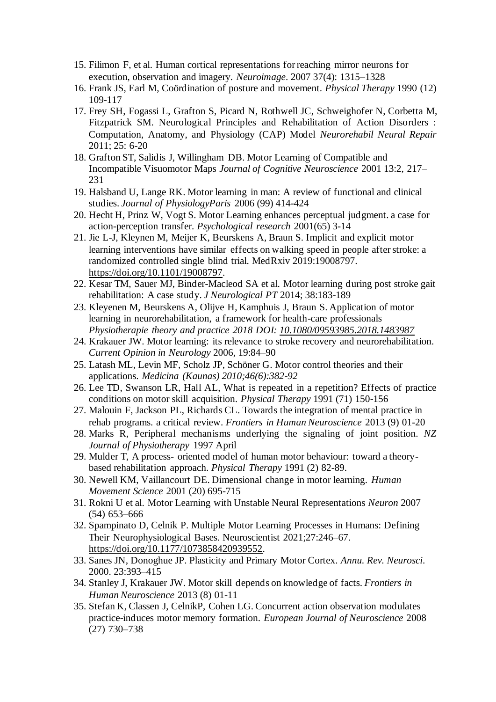- 15. Filimon F, et al. Human cortical representations for reaching mirror neurons for execution, observation and imagery. *Neuroimage*. 2007 37(4): 1315–1328
- 16. Frank JS, Earl M, Coördination of posture and movement. *Physical Therapy* 1990 (12) 109-117
- 17. Frey SH, Fogassi L, Grafton S, Picard N, Rothwell JC, Schweighofer N, Corbetta M, Fitzpatrick SM. Neurological Principles and Rehabilitation of Action Disorders : Computation, Anatomy, and Physiology (CAP) Model *Neurorehabil Neural Repair*  2011; 25: 6-20
- 18. Grafton ST, Salidis J, Willingham DB. Motor Learning of Compatible and Incompatible Visuomotor Maps *Journal of Cognitive Neuroscience* 2001 13:2, 217– 231
- 19. Halsband U, Lange RK. Motor learning in man: A review of functional and clinical studies. *Journal of PhysiologyParis* 2006 (99) 414-424
- 20. Hecht H, Prinz W, Vogt S. Motor Learning enhances perceptual judgment. a case for action-perception transfer*. Psychological research* 2001(65) 3-14
- 21. Jie L-J, Kleynen M, Meijer K, Beurskens A, Braun S. Implicit and explicit motor learning interventions have similar effects on walking speed in people after stroke: a randomized controlled single blind trial. MedRxiv 2019:19008797. [https://doi.org/10.1101/19008797.](https://doi.org/10.1101/19008797)
- 22. Kesar TM, Sauer MJ, Binder-Macleod SA et al. Motor learning during post stroke gait rehabilitation: A case study. *J Neurological PT* 2014; 38:183-189
- 23. Kleyenen M, Beurskens A, Olijve H, Kamphuis J, Braun S. Application of motor learning in neurorehabilitation, a framework for health-care professionals *Physiotherapie theory and practice 2018 DOI: [10.1080/09593985.2018.1483987](https://doi.org/10.1080/09593985.2018.1483987)*
- 24. Krakauer JW. Motor learning: its relevance to stroke recovery and neurorehabilitation. *Current Opinion in Neurology* 2006, 19:84–90
- 25. Latash ML, Levin MF, Scholz JP, Schöner G. Motor control theories and their applications. *Medicina (Kaunas) 2010;46(6):382-92*
- 26. Lee TD, Swanson LR, Hall AL, What is repeated in a repetition? Effects of practice conditions on motor skill acquisition. *Physical Therapy* 1991 (71) 150-156
- 27. Malouin F, Jackson PL, Richards CL. Towards the integration of mental practice in rehab programs. a critical review. *Frontiers in Human Neuroscience* 2013 (9) 01-20
- 28. Marks R, Peripheral mechanisms underlying the signaling of joint position. *NZ Journal of Physiotherapy* 1997 April
- 29. Mulder T, A process- oriented model of human motor behaviour: toward a theorybased rehabilitation approach. *Physical Therapy* 1991 (2) 82-89.
- 30. Newell KM, Vaillancourt DE. Dimensional change in motor learning. *Human Movement Science* 2001 (20) 695-715
- 31. Rokni U et al. Motor Learning with Unstable Neural Representations *Neuron* 2007 (54) 653–666
- 32. Spampinato D, Celnik P. Multiple Motor Learning Processes in Humans: Defining Their Neurophysiological Bases. Neuroscientist 2021;27:246–67. [https://doi.org/10.1177/1073858420939552.](https://doi.org/10.1177/1073858420939552)
- 33. Sanes JN, Donoghue JP. Plasticity and Primary Motor Cortex. *Annu. Rev. Neurosci*. 2000. 23:393–415
- 34. Stanley J, Krakauer JW. Motor skill depends on knowledge of facts. *Frontiers in Human Neuroscience* 2013 (8) 01-11
- 35. Stefan K, Classen J, CelnikP, Cohen LG. Concurrent action observation modulates practice-induces motor memory formation. *European Journal of Neuroscience* 2008 (27) 730–738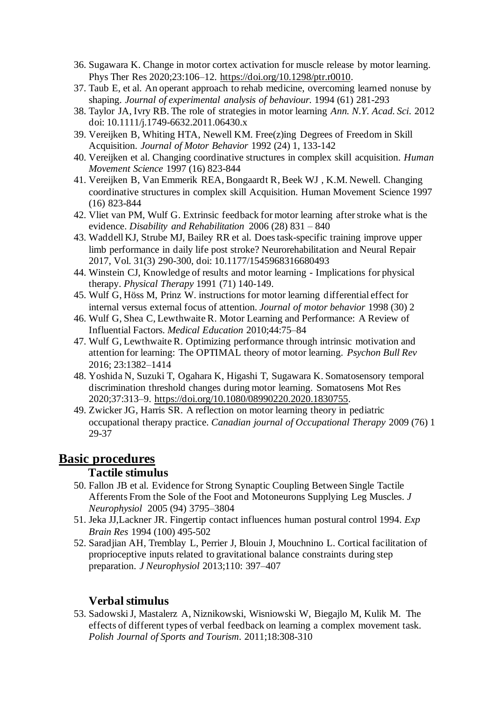- 36. Sugawara K. Change in motor cortex activation for muscle release by motor learning. Phys Ther Res 2020;23:106–12. [https://doi.org/10.1298/ptr.r0010.](https://doi.org/10.1298/ptr.r0010)
- 37. Taub E, et al. An operant approach to rehab medicine, overcoming learned nonuse by shaping. *Journal of experimental analysis of behaviour.* 1994 (61) 281-293
- 38. Taylor JA, Ivry RB. The role of strategies in motor learning *Ann. N.Y. Acad. Sci*. 2012 doi: 10.1111/j.1749-6632.2011.06430.x
- 39. Vereijken B, Whiting HTA, Newell KM. Free(z)ing Degrees of Freedom in Skill Acquisition. *Journal of Motor Behavior* 1992 (24) 1, 133-142
- 40. Vereijken et al. Changing coordinative structures in complex skill acquisition. *Human Movement Science* 1997 (16) 823-844
- 41. Vereijken B, Van Emmerik REA, Bongaardt R, Beek WJ , K.M. Newell. Changing coordinative structures in complex skill Acquisition. Human Movement Science 1997 (16) 823-844
- 42. Vliet van PM, Wulf G. Extrinsic feedback for motor learning after stroke what is the evidence. *Disability and Rehabilitation* 2006 (28) 831 – 840
- 43. Waddell KJ, Strube MJ, Bailey RR et al. Does task-specific training improve upper limb performance in daily life post stroke? Neurorehabilitation and Neural Repair 2017, Vol. 31(3) 290-300, doi: 10.1177/1545968316680493
- 44. Winstein CJ, Knowledge of results and motor learning Implications for physical therapy. *Physical Therapy* 1991 (71) 140-149.
- 45. Wulf G, Höss M, Prinz W. instructions for motor learning differential effect for internal versus external focus of attention. *Journal of motor behavior* 1998 (30) 2
- 46. Wulf G, Shea C, Lewthwaite R. Motor Learning and Performance: A Review of Influential Factors. *Medical Education* 2010;44:75–84
- 47. Wulf G, Lewthwaite R. Optimizing performance through intrinsic motivation and attention for learning: The OPTIMAL theory of motor learning. *Psychon Bull Rev* 2016; 23:1382–1414
- 48. Yoshida N, Suzuki T, Ogahara K, Higashi T, Sugawara K. Somatosensory temporal discrimination threshold changes during motor learning. Somatosens Mot Res 2020;37:313–9. [https://doi.org/10.1080/08990220.2020.1830755.](https://doi.org/10.1080/08990220.2020.1830755)
- 49. Zwicker JG, Harris SR. A reflection on motor learning theory in pediatric occupational therapy practice. *Canadian journal of Occupational Therapy* 2009 (76) 1 29-37

# **Basic procedures**

## **Tactile stimulus**

- 50. Fallon JB et al. Evidence for Strong Synaptic Coupling Between Single Tactile Afferents From the Sole of the Foot and Motoneurons Supplying Leg Muscles. *J Neurophysiol* 2005 (94) 3795–3804
- 51. Jeka JJ,Lackner JR. Fingertip contact influences human postural control 1994. *Exp Brain Res* 1994 (100) 495-502
- 52. Saradjian AH, Tremblay L, Perrier J, Blouin J, Mouchnino L. Cortical facilitation of proprioceptive inputs related to gravitational balance constraints during step preparation. *J Neurophysiol* 2013;110: 397–407

#### **Verbal stimulus**

53. Sadowski J, Mastalerz A, Niznikowski, Wisniowski W, Biegajlo M, Kulik M. The effects of different types of verbal feedback on learning a complex movement task. *Polish Journal of Sports and Tourism.* 2011;18:308-310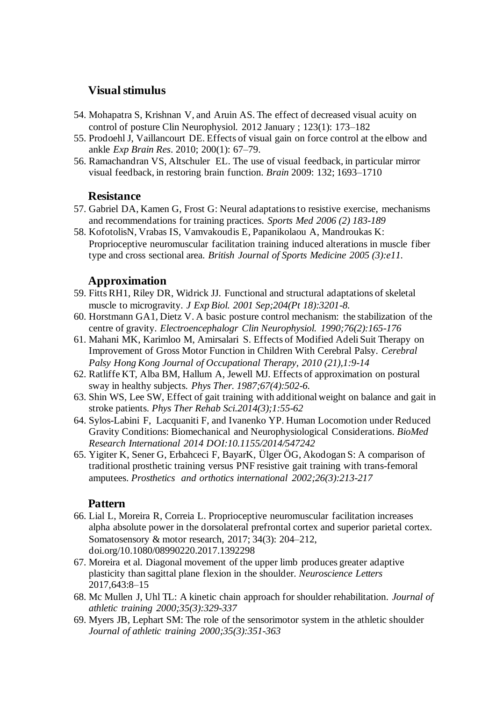#### **Visual stimulus**

- 54. Mohapatra S, Krishnan V, and Aruin AS. The effect of decreased visual acuity on control of posture Clin Neurophysiol. 2012 January ; 123(1): 173–182
- 55. Prodoehl J, Vaillancourt DE. Effects of visual gain on force control at the elbow and ankle *Exp Brain Res*. 2010; 200(1): 67–79.
- 56. Ramachandran VS, Altschuler EL. The use of visual feedback, in particular mirror visual feedback, in restoring brain function. *Brain* 2009: 132; 1693–1710

#### **Resistance**

- 57. Gabriel DA, Kamen G, Frost G: Neural adaptations to resistive exercise, mechanisms and recommendations for training practices. *Sports Med 2006 (2) 183-189*
- 58. KofotolisN, Vrabas IS, Vamvakoudis E, Papanikolaou A, Mandroukas K: Proprioceptive neuromuscular facilitation training induced alterations in muscle fiber type and cross sectional area. *British Journal of Sports Medicine 2005 (3):e11.*

#### **Approximation**

- 59. Fitts RH1, Riley DR, Widrick JJ. Functional and structural adaptations of skeletal muscle to microgravity. *J Exp Biol. 2001 Sep;204(Pt 18):3201-8.*
- 60. Horstmann GA1, Dietz V. A basic posture control mechanism: the stabilization of the centre of gravity. *Electroencephalogr Clin Neurophysiol. 1990;76(2):165-176*
- 61. Mahani MK, Karimloo M, Amirsalari S. Effects of Modified Adeli Suit Therapy on Improvement of Gross Motor Function in Children With Cerebral Palsy. *Cerebral Palsy Hong Kong Journal of Occupational Therapy, 2010 (21),1:9-14*
- 62. Ratliffe KT, Alba BM, Hallum A, Jewell MJ. Effects of approximation on postural sway in healthy subjects*. Phys Ther. 1987;67(4):502-6.*
- 63. Shin WS, Lee SW, Effect of gait training with additional weight on balance and gait in stroke patients*. Phys Ther Rehab Sci.2014(3);1:55-62*
- 64. Sylos-Labini F, Lacquaniti F, and Ivanenko YP. Human Locomotion under Reduced Gravity Conditions: Biomechanical and Neurophysiological Considerations. *BioMed Research International 2014 DOI:10.1155/2014/547242*
- 65. Yigiter K, Sener G, Erbahceci F, BayarK, Ülger ÖG, Akodogan S: A comparison of traditional prosthetic training versus PNF resistive gait training with trans-femoral amputees. *Prosthetics and orthotics international 2002;26(3):213-217*

#### **Pattern**

- 66. Lial L, Moreira R, Correia L. Proprioceptive neuromuscular facilitation increases alpha absolute power in the dorsolateral prefrontal cortex and superior parietal cortex. Somatosensory & motor research, 2017; 34(3): 204–212, doi.org/10.1080/08990220.2017.1392298
- 67. Moreira et al. Diagonal movement of the upper limb produces greater adaptive plasticity than sagittal plane flexion in the shoulder. *Neuroscience Letters*  2017,643:8–15
- 68. Mc Mullen J, Uhl TL: A kinetic chain approach for shoulder rehabilitation. *Journal of athletic training 2000;35(3):329-337*
- 69. Myers JB, Lephart SM: The role of the sensorimotor system in the athletic shoulder *Journal of athletic training 2000;35(3):351-363*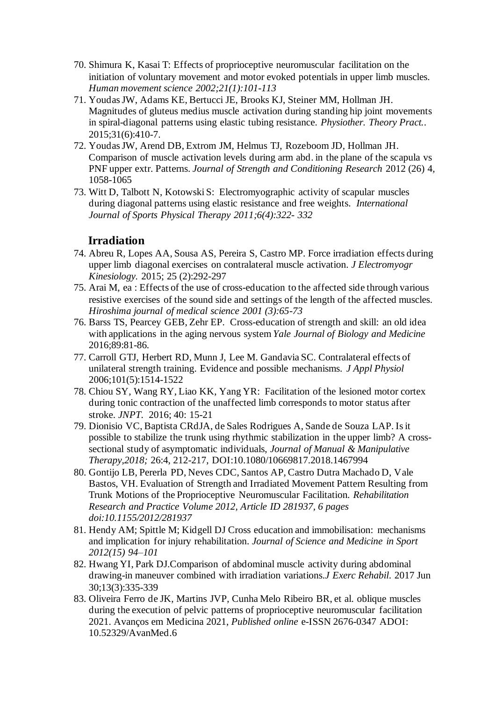- 70. Shimura K, Kasai T: Effects of proprioceptive neuromuscular facilitation on the initiation of voluntary movement and motor evoked potentials in upper limb muscles. *Human movement science 2002;21(1):101-113*
- 71. Youdas JW, Adams KE, Bertucci JE, Brooks KJ, Steiner MM, Hollman JH. Magnitudes of gluteus medius muscle activation during standing hip joint movements in spiral-diagonal patterns using elastic tubing resistance. *Physiother. Theory Pract.*. 2015;31(6):410-7.
- 72. Youdas JW, Arend DB, Extrom JM, Helmus TJ, Rozeboom JD, Hollman JH. Comparison of muscle activation levels during arm abd. in the plane of the scapula vs PNF upper extr. Patterns. *Journal of Strength and Conditioning Research* 2012 (26) 4, 1058-1065
- 73. Witt D, Talbott N, Kotowski S: Electromyographic activity of scapular muscles during diagonal patterns using elastic resistance and free weights. *International Journal of Sports Physical Therapy 2011;6(4):322- 332*

#### **Irradiation**

- 74. Abreu R, Lopes AA, Sousa AS, Pereira S, Castro MP. Force irradiation effects during upper limb diagonal exercises on contralateral muscle activation. *J Electromyogr Kinesiology.* 2015; 25 (2):292-297
- 75. Arai M, ea : Effects of the use of cross-education to the affected side through various resistive exercises of the sound side and settings of the length of the affected muscles. *Hiroshima journal of medical science 2001 (3):65-73*
- 76. Barss TS, Pearcey GEB, Zehr EP. Cross-education of strength and skill: an old idea with applications in the aging nervous system *Yale Journal of Biology and Medicine* 2016;89:81-86*.*
- 77. Carroll GTJ, Herbert RD, Munn J, Lee M. Gandavia SC. Contralateral effects of unilateral strength training. Evidence and possible mechanisms. *J Appl Physiol*  2006;101(5):1514-1522
- 78. Chiou SY, Wang RY, Liao KK, Yang YR: Facilitation of the lesioned motor cortex during tonic contraction of the unaffected limb corresponds to motor status after stroke. *JNPT.* 2016; 40: 15-21
- 79. Dionisio VC, Baptista CRdJA, de Sales Rodrigues A, Sande de Souza LAP. Is it possible to stabilize the trunk using rhythmic stabilization in the upper limb? A crosssectional study of asymptomatic individuals, *Journal of Manual & Manipulative Therapy,2018;* 26:4, 212-217, DOI:10.1080/10669817.2018.1467994
- 80. Gontijo LB, Pererla PD, Neves CDC, Santos AP, Castro Dutra Machado D, Vale Bastos, VH. Evaluation of Strength and Irradiated Movement Pattern Resulting from Trunk Motions of the Proprioceptive Neuromuscular Facilitation*. Rehabilitation Research and Practice Volume 2012, Article ID 281937, 6 pages doi:10.1155/2012/281937*
- 81. Hendy AM; Spittle M; Kidgell DJ Cross education and immobilisation: mechanisms and implication for injury rehabilitation. *Journal of Science and Medicine in Sport 2012(15) 94–101*
- 82. Hwang YI, Park DJ.Comparison of abdominal muscle activity during abdominal drawing-in maneuver combined with irradiation variations.*J Exerc Rehabil*. 2017 Jun 30;13(3):335-339
- 83. Oliveira Ferro de JK, Martins JVP, Cunha Melo Ribeiro BR, et al. oblique muscles during the execution of pelvic patterns of proprioceptive neuromuscular facilitation 2021. Avanços em Medicina 2021, *Published online* e-ISSN 2676-0347 ADOI: 10.52329/AvanMed.6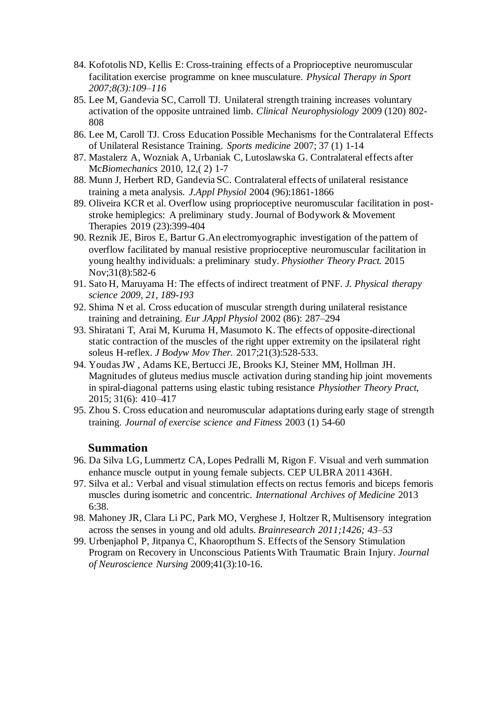- 84. Kofotolis ND, Kellis E: Cross-training effects of a Proprioceptive neuromuscular facilitation exercise programme on knee musculature. *Physical Therapy in Sport 2007;8(3):109–116*
- 85. Lee M, Gandevia SC, Carroll TJ. Unilateral strength training increases voluntary activation of the opposite untrained limb. *Clinical Neurophysiology* 2009 (120) 802- 808
- 86. Lee M, Caroll TJ. Cross Education Possible Mechanisms for the Contralateral Effects of Unilateral Resistance Training. *Sports medicine* 2007; 37 (1) 1-14
- 87. Mastalerz A, Wozniak A, Urbaniak C, Lutoslawska G. Contralateral effects after Mc*Biomechanics* 2010, 12,( 2) 1-7
- 88. Munn J, Herbert RD, Gandevia SC. Contralateral effects of unilateral resistance training a meta analysis. *J.Appl Physiol* 2004 (96):1861-1866
- 89. Oliveira KCR et al. Overflow using proprioceptive neuromuscular facilitation in poststroke hemiplegics: A preliminary study. Journal of Bodywork & Movement Therapies 2019 (23):399-404
- 90. [Reznik JE,](http://www.ncbi.nlm.nih.gov/pubmed/?term=Reznik%20JE%5BAuthor%5D&cauthor=true&cauthor_uid=26452149) [Biros E,](http://www.ncbi.nlm.nih.gov/pubmed/?term=Biros%20E%5BAuthor%5D&cauthor=true&cauthor_uid=26452149) [Bartur G.](http://www.ncbi.nlm.nih.gov/pubmed/?term=Bartur%20G%5BAuthor%5D&cauthor=true&cauthor_uid=26452149)An electromyographic investigation of the pattern of overflow facilitated by manual resistive proprioceptive neuromuscular facilitation in young healthy individuals: a preliminary study. *[Physiother Theory Pract.](http://www.ncbi.nlm.nih.gov/pubmed/26452149)* 2015 Nov;31(8):582-6
- 91. Sato H, Maruyama H: The effects of indirect treatment of PNF. *J. Physical therapy science 2009, 21, 189-193*
- 92. Shima N et al. Cross education of muscular strength during unilateral resistance training and detraining. *Eur JAppl Physiol* 2002 (86): 287–294
- 93. Shiratani T, Arai M, Kuruma H, Masumoto K. The effects of opposite-directional static contraction of the muscles of the right upper extremity on the ipsilateral right soleus H-reflex. *J Bodyw Mov Ther.* 2017;21(3):528-533.
- 94. Youdas JW , Adams KE, Bertucci JE, Brooks KJ, Steiner MM, Hollman JH. Magnitudes of gluteus medius muscle activation during standing hip joint movements in spiral-diagonal patterns using elastic tubing resistance *Physiother Theory Pract*, 2015; 31(6): 410–417
- 95. Zhou S. Cross education and neuromuscular adaptations during early stage of strength training. *Journal of exercise science and Fitness* 2003 (1) 54-60

#### **Summation**

- 96. Da Silva LG, Lummertz CA, Lopes Pedralli M, Rigon F. Visual and verh summation enhance muscle output in young female subjects. CEP ULBRA 2011 436H.
- 97. Silva et al.: Verbal and visual stimulation effects on rectus femoris and biceps femoris muscles during isometric and concentric. *International Archives of Medicine* 2013 6:38.
- 98. Mahoney JR, Clara Li PC, Park MO, Verghese J, Holtzer R, Multisensory integration across the senses in young and old adults. *Brainresearch 2011;1426; 43–53*
- 99. Urbenjaphol P, Jitpanya C, Khaoropthum S. Effects of the Sensory Stimulation Program on Recovery in Unconscious Patients With Traumatic Brain Injury. *Journal of Neuroscience Nursing* 2009;41(3):10-16.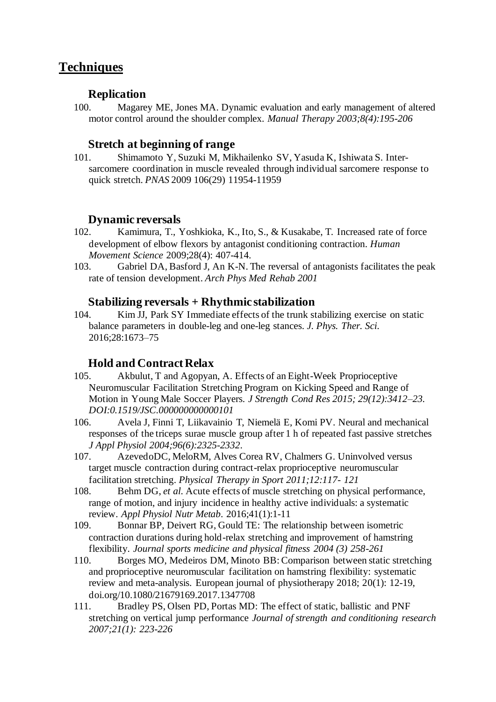# **Techniques**

#### **Replication**

100. Magarey ME, Jones MA. Dynamic evaluation and early management of altered motor control around the shoulder complex. *Manual Therapy 2003;8(4):195-206*

#### **Stretch at beginning of range**

101. Shimamoto Y, Suzuki M, Mikhailenko SV, Yasuda K, Ishiwata S. Intersarcomere coordination in muscle revealed through individual sarcomere response to quick stretch. *PNAS* 2009 106(29) 11954-11959

#### **Dynamic reversals**

- 102. Kamimura, T., Yoshkioka, K., Ito, S., & Kusakabe, T. Increased rate of force development of elbow flexors by antagonist conditioning contraction. *Human Movement Science* 2009;28(4): 407-414.
- 103. Gabriel DA, Basford J, An K-N. The reversal of antagonists facilitates the peak rate of tension development. *Arch Phys Med Rehab 2001*

#### **Stabilizing reversals + Rhythmic stabilization**

104. Kim JJ, Park SY Immediate effects of the trunk stabilizing exercise on static balance parameters in double-leg and one-leg stances. *J. Phys. Ther. Sci*. 2016;28:1673–75

#### **Hold and Contract Relax**

- 105. Akbulut, T and Agopyan, A. Effects of an Eight-Week Proprioceptive Neuromuscular Facilitation Stretching Program on Kicking Speed and Range of Motion in Young Male Soccer Players. *J Strength Cond Res 2015; 29(12):3412–23. DOI:0.1519/JSC.000000000000101*
- 106. Avela J, Finni T, Liikavainio T, Niemelä E, Komi PV. Neural and mechanical responses of the triceps surae muscle group after 1 h of repeated fast passive stretches *J Appl Physiol 2004;96(6):2325-2332*.
- 107. AzevedoDC, MeloRM, Alves Corea RV, Chalmers G. Uninvolved versus target muscle contraction during contract-relax proprioceptive neuromuscular facilitation stretching. *Physical Therapy in Sport 2011;12:117- 121*
- 108. Behm DG, *et al*. Acute effects of muscle stretching on physical performance, range of motion, and injury incidence in healthy active individuals: a systematic review. *Appl Physiol Nutr Metab*. 2016;41(1):1-11
- 109. Bonnar BP, Deivert RG, Gould TE: The relationship between isometric contraction durations during hold-relax stretching and improvement of hamstring flexibility. *Journal sports medicine and physical fitness 2004 (3) 258-261*
- 110. Borges MO, Medeiros DM, Minoto BB: Comparison between static stretching and proprioceptive neuromuscular facilitation on hamstring flexibility: systematic review and meta-analysis. European journal of physiotherapy 2018; 20(1): 12-19, doi.org/10.1080/21679169.2017.1347708
- 111. Bradley PS, Olsen PD, Portas MD: The effect of static, ballistic and PNF stretching on vertical jump performance *Journal of strength and conditioning research 2007;21(1): 223-226*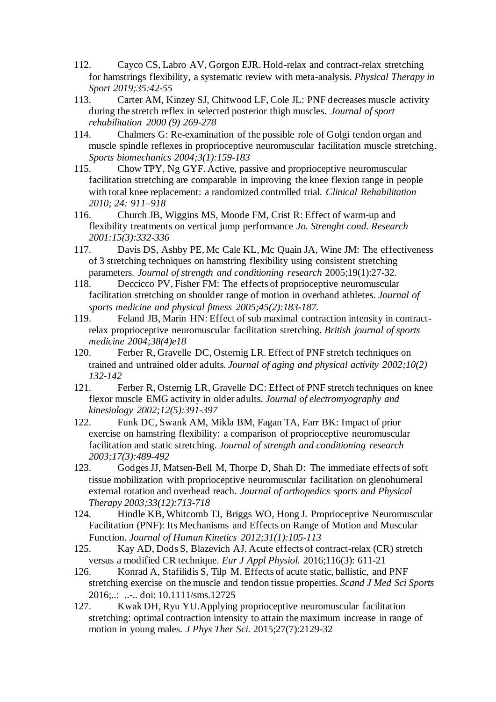- 112. Cayco CS, Labro AV, Gorgon EJR. Hold-relax and contract-relax stretching for hamstrings flexibility, a systematic review with meta-analysis. *Physical Therapy in Sport 2019;35:42-55*
- 113. Carter AM, Kinzey SJ, Chitwood LF, Cole JL: PNF decreases muscle activity during the stretch reflex in selected posterior thigh muscles. *Journal of sport rehabilitation 2000 (9) 269-278*
- 114. Chalmers G: Re-examination of the possible role of Golgi tendon organ and muscle spindle reflexes in proprioceptive neuromuscular facilitation muscle stretching. *Sports biomechanics 2004;3(1):159-183*<br>115. Chow TPY, Ng GYF, Active, pas
- 115. Chow TPY, Ng GYF. Active, passive and proprioceptive neuromuscular facilitation stretching are comparable in improving the knee flexion range in people with total knee replacement: a randomized controlled trial. *Clinical Rehabilitation 2010; 24: 911–918*
- 116. Church JB, Wiggins MS, Moode FM, Crist R: Effect of warm-up and flexibility treatments on vertical jump performance *Jo. Strenght cond. Research 2001:15(3):332-336*
- 117. Davis DS, Ashby PE, Mc Cale KL, Mc Quain JA, Wine JM: The effectiveness of 3 stretching techniques on hamstring flexibility using consistent stretching parameters. *Journal of strength and conditioning research* 2005;19(1):27-32.
- 118. Deccicco PV, Fisher FM: The effects of proprioceptive neuromuscular facilitation stretching on shoulder range of motion in overhand athletes. *Journal of sports medicine and physical fitness 2005;45(2):183-187.*<br>119. Feland JB. Marin HN: Effect of sub maximal contra
- Feland JB, Marin HN: Effect of sub maximal contraction intensity in contractrelax proprioceptive neuromuscular facilitation stretching. *British journal of sports medicine 2004;38(4)e18*
- 120. Ferber R, Gravelle DC, Osternig LR. Effect of PNF stretch techniques on trained and untrained older adults*. Journal of aging and physical activity 2002;10(2) 132-142*
- 121. Ferber R, Osternig LR, Gravelle DC: Effect of PNF stretch techniques on knee flexor muscle EMG activity in older adults. *Journal of electromyography and kinesiology 2002;12(5):391-397*
- 122. Funk DC, Swank AM, Mikla BM, Fagan TA, Farr BK: Impact of prior exercise on hamstring flexibility: a comparison of proprioceptive neuromuscular facilitation and static stretching. *Journal of strength and conditioning research 2003;17(3):489-492*
- 123. Godges JJ, Matsen-Bell M, Thorpe D, Shah D: The immediate effects of soft tissue mobilization with proprioceptive neuromuscular facilitation on glenohumeral external rotation and overhead reach. *Journal of orthopedics sports and Physical Therapy 2003;33(12):713-718*
- 124. Hindle KB, Whitcomb TJ, Briggs WO, Hong J. Proprioceptive Neuromuscular Facilitation (PNF): Its Mechanisms and Effects on Range of Motion and Muscular Function. *Journal of Human Kinetics 2012;31(1):105-113*
- 125. [Kay AD,](http://www.ncbi.nlm.nih.gov/pubmed/?term=Kay%20AD%5BAuthor%5D&cauthor=true&cauthor_uid=26729210) [Dods S,](http://www.ncbi.nlm.nih.gov/pubmed/?term=Dods%20S%5BAuthor%5D&cauthor=true&cauthor_uid=26729210) [Blazevich AJ.](http://www.ncbi.nlm.nih.gov/pubmed/?term=Blazevich%20AJ%5BAuthor%5D&cauthor=true&cauthor_uid=26729210) Acute effects of contract-relax (CR) stretch versus a modified CR technique. *[Eur J Appl Physiol.](http://www.ncbi.nlm.nih.gov/pubmed/26729210)* 2016;116(3): 611-21
- 126. Konrad A, Stafilidis S, Tilp M. Effects of acute static, ballistic, and PNF stretching exercise on the muscle and tendon tissue properties. *Scand J Med Sci Sports* 2016;..: ..-.. doi: 10.1111/sms.12725
- 127. Kwak DH, Ryu YU.Applying proprioceptive neuromuscular facilitation stretching: optimal contraction intensity to attain the maximum increase in range of motion in young males. *J Phys Ther Sci.* 2015;27(7):2129-32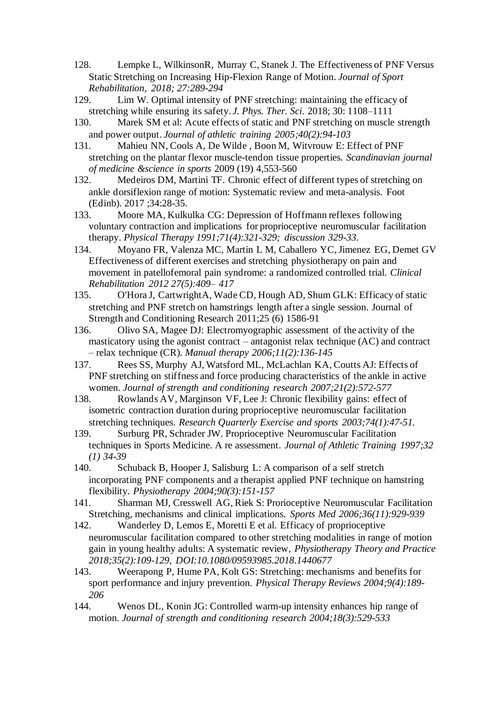- 128. Lempke L, WilkinsonR, Murray C, Stanek J. The Effectiveness of PNF Versus Static Stretching on Increasing Hip-Flexion Range of Motion. *Journal of Sport Rehabilitation, 2018; 27:289-294*
- 129. Lim W. Optimal intensity of PNF stretching: maintaining the efficacy of stretching while ensuring its safety. *J. Phys. Ther. Sci*. 2018; 30: 1108–1111
- 130. Marek SM et al: Acute effects of static and PNF stretching on muscle strength and power output. *Journal of athletic training 2005;40(2):94-103*
- 131. Mahieu NN, Cools A, De Wilde , Boon M, Witvrouw E: Effect of PNF stretching on the plantar flexor muscle-tendon tissue properties*. Scandinavian journal of medicine &science in sports* 2009 (19) 4,553-560
- 132. Medeiros DM, Martini TF. Chronic effect of different types of stretching on ankle dorsiflexion range of motion: Systematic review and meta-analysis. Foot (Edinb). 2017 ;34:28-35.
- 133. Moore MA, Kulkulka CG: Depression of Hoffmann reflexes following voluntary contraction and implications for proprioceptive neuromuscular facilitation therapy. *Physical Therapy 1991;71(4):321-329; discussion 329-33.*
- 134. Moyano FR, Valenza MC, Martin L M, Caballero YC, Jimenez EG, Demet GV Effectiveness of different exercises and stretching physiotherapy on pain and movement in patellofemoral pain syndrome: a randomized controlled trial. *Clinical Rehabilitation 2012 27(5):409– 417*
- 135. O'Hora J, CartwrightA, Wade CD, Hough AD, Shum GLK: Efficacy of static stretching and PNF stretch on hamstrings length after a single session. Journal of Strength and Conditioning Research 2011;25 (6) 1586-91
- 136. Olivo SA, Magee DJ: Electromyographic assessment of the activity of the masticatory using the agonist contract – antagonist relax technique (AC) and contract – relax technique (CR). *Manual therapy 2006;11(2):136-145*
- 137. Rees SS, Murphy AJ, Watsford ML, McLachlan KA, Coutts AJ: Effects of PNF stretching on stiffness and force producing characteristics of the ankle in active women. *Journal of strength and conditioning research 2007;21(2):572-577*
- 138. Rowlands AV, Marginson VF, Lee J: Chronic flexibility gains: effect of isometric contraction duration during proprioceptive neuromuscular facilitation stretching techniques. *Research Quarterly Exercise and sports 2003;74(1):47-51.*
- 139. Surburg PR, Schrader JW. Proprioceptive Neuromuscular Facilitation techniques in Sports Medicine. A re assessment. *Journal of Athletic Training 1997;32 (1) 34-39*
- 140. Schuback B, Hooper J, Salisburg L: A comparison of a self stretch incorporating PNF components and a therapist applied PNF technique on hamstring flexibility. *Physiotherapy 2004;90(3):151-157*
- 141. Sharman MJ, Cresswell AG, Riek S: Prorioceptive Neuromuscular Facilitation Stretching, mechanisms and clinical implications. *Sports Med 2006;36(11):929-939*
- 142. Wanderley D, Lemos E, Moretti E et al. Efficacy of proprioceptive neuromuscular facilitation compared to other stretching modalities in range of motion gain in young healthy adults: A systematic review, *Physiotherapy Theory and Practice 2018;35(2):109-129, DOI:10.1080/09593985.2018.1440677*
- 143. Weerapong P, Hume PA, Kolt GS: Stretching: mechanisms and benefits for sport performance and injury prevention*. Physical Therapy Reviews 2004;9(4):189- 206*
- 144. Wenos DL, Konin JG: Controlled warm-up intensity enhances hip range of motion. *Journal of strength and conditioning research 2004;18(3):529-533*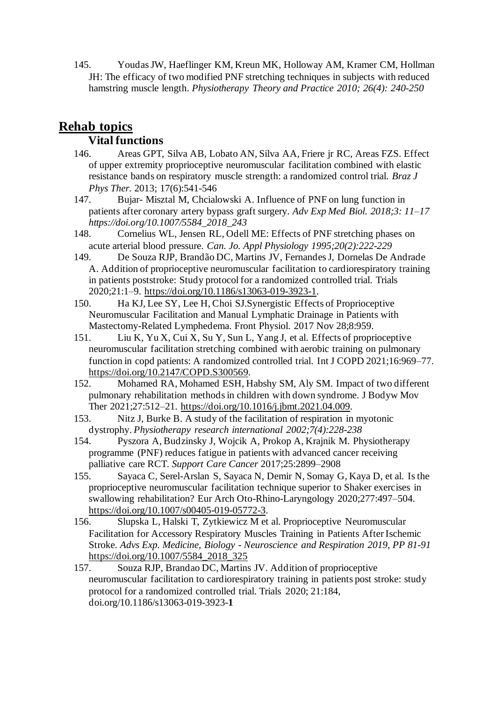145. Youdas JW, Haeflinger KM, Kreun MK, Holloway AM, Kramer CM, Hollman JH: The efficacy of two modified PNF stretching techniques in subjects with reduced hamstring muscle length. *Physiotherapy Theory and Practice 2010; 26(4): 240-250*

# **Rehab topics**

# **Vital functions**

- 146. Areas GPT, Silva AB, Lobato AN, Silva AA, Friere jr RC, Areas FZS. Effect of upper extremity proprioceptive neuromuscular facilitation combined with elastic resistance bands on respiratory muscle strength: a randomized control trial*. Braz J Phys Ther.* 2013; 17(6):541-546
- 147. Bujar- Misztal M, Chcialowski A. Influence of PNF on lung function in patients after coronary artery bypass graft surgery. *Adv Exp Med Biol. 2018;3: 11–17 https://doi.org/10.1007/5584\_2018\_243*
- 148. Cornelius WL, Jensen RL, Odell ME: Effects of PNF stretching phases on acute arterial blood pressure. *Can. Jo. Appl Physiology 1995;20(2):222-229*
- 149. De Souza RJP, Brandão DC, Martins JV, Fernandes J, Dornelas De Andrade A. Addition of proprioceptive neuromuscular facilitation to cardiorespiratory training in patients poststroke: Study protocol for a randomized controlled trial. Trials 2020;21:1–9. [https://doi.org/10.1186/s13063-019-3923-1.](https://doi.org/10.1186/s13063-019-3923-1)
- 150. Ha KJ, Lee SY, Lee H, Choi SJ.Synergistic Effects of Proprioceptive Neuromuscular Facilitation and Manual Lymphatic Drainage in Patients with Mastectomy-Related Lymphedema. Front Physiol. 2017 Nov 28;8:959.
- 151. Liu K, Yu X, Cui X, Su Y, Sun L, Yang J, et al. Effects of proprioceptive neuromuscular facilitation stretching combined with aerobic training on pulmonary function in copd patients: A randomized controlled trial. Int J COPD 2021;16:969–77. [https://doi.org/10.2147/COPD.S300569.](https://doi.org/10.2147/COPD.S300569)
- 152. Mohamed RA, Mohamed ESH, Habshy SM, Aly SM. Impact of two different pulmonary rehabilitation methods in children with down syndrome. J Bodyw Mov Ther 2021;27:512–21. [https://doi.org/10.1016/j.jbmt.2021.04.009.](https://doi.org/10.1016/j.jbmt.2021.04.009)
- 153. Nitz J, Burke B. A study of the facilitation of respiration in myotonic dystrophy. *Physiotherapy research international 2002;7(4):228-238*
- 154. Pyszora A, Budzinsky J, Wojcik A, Prokop A, Krajnik M. Physiotherapy programme (PNF) reduces fatigue in patients with advanced cancer receiving palliative care RCT. *Support Care Cancer* 2017;25:2899–2908
- 155. Sayaca C, Serel-Arslan S, Sayaca N, Demir N, Somay G, Kaya D, et al. Is the proprioceptive neuromuscular facilitation technique superior to Shaker exercises in swallowing rehabilitation? Eur Arch Oto-Rhino-Laryngology 2020;277:497–504. [https://doi.org/10.1007/s00405-019-05772-3.](https://doi.org/10.1007/s00405-019-05772-3)
- 156. Slupska L, Halski T, Zytkiewicz M et al. Proprioceptive Neuromuscular Facilitation for Accessory Respiratory Muscles Training in Patients After Ischemic Stroke*. Advs Exp. Medicine, Biology - Neuroscience and Respiration 2019, PP 81-91*  [https://doi.org/10.1007/5584\\_2018\\_325](https://doi.org/10.1007/5584_2018_325)
- 157. Souza RJP, Brandao DC, Martins JV. Addition of proprioceptive neuromuscular facilitation to cardiorespiratory training in patients post stroke: study protocol for a randomized controlled trial. Trials 2020; 21:184, doi.org/10.1186/s13063-019-3923-**1**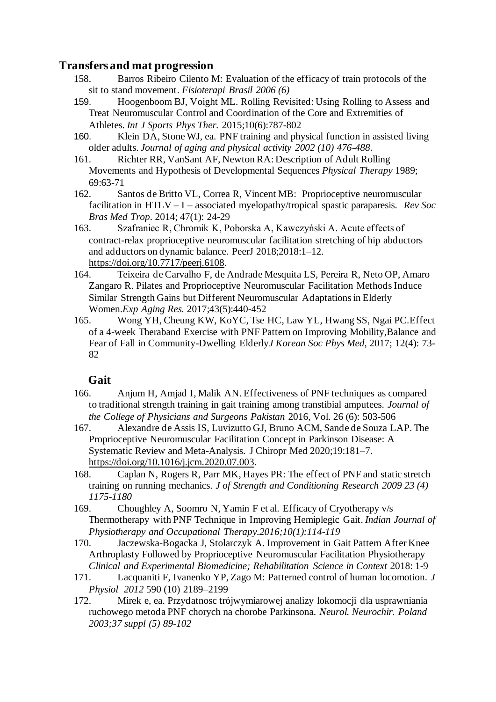#### **Transfers and mat progression**

- 158. Barros Ribeiro Cilento M: Evaluation of the efficacy of train protocols of the sit to stand movement. *Fisioterapi Brasil 2006 (6)*
- 159. [Hoogenboom BJ,](http://www.ncbi.nlm.nih.gov/pubmed/?term=Hoogenboom%20BJ%5BAuthor%5D&cauthor=true&cauthor_uid=26618059) [Voight ML.](http://www.ncbi.nlm.nih.gov/pubmed/?term=Voight%20ML%5BAuthor%5D&cauthor=true&cauthor_uid=26618059) Rolling Revisited: Using Rolling to Assess and Treat Neuromuscular Control and Coordination of the Core and Extremities of Athletes*. [Int J Sports Phys](http://www.ncbi.nlm.nih.gov/pubmed/26618059) Ther.* 2015;10(6):787-802
- 160. Klein DA, Stone WJ, ea. PNF training and physical function in assisted living older adults. *Journal of aging and physical activity 2002 (10) 476-488*.
- 161. Richter RR, VanSant AF, Newton RA: Description of Adult Rolling Movements and Hypothesis of Developmental Sequences *Physical Therapy* 1989; 69:63-71
- 162. Santos de Britto VL, Correa R, Vincent MB: Proprioceptive neuromuscular facilitation in HTLV – I – associated myelopathy/tropical spastic paraparesis. *Rev Soc Bras Med Trop*. 2014; 47(1): 24-29
- 163. Szafraniec R, Chromik K, Poborska A, Kawczyński A. Acute effects of contract-relax proprioceptive neuromuscular facilitation stretching of hip abductors and adductors on dynamic balance. PeerJ 2018;2018:1–12. [https://doi.org/10.7717/peerj.6108.](https://doi.org/10.7717/peerj.6108)
- 164. Teixeira de Carvalho F, de Andrade Mesquita LS, Pereira R, Neto OP, Amaro Zangaro R. Pilates and Proprioceptive Neuromuscular Facilitation Methods Induce Similar Strength Gains but Different Neuromuscular Adaptations in Elderly Women.*[Exp Aging Res.](https://www.ncbi.nlm.nih.gov/pubmed/28949820)* 2017;43(5):440-452
- 165. Wong YH, Cheung KW, KoYC, Tse HC, Law YL, Hwang SS, Ngai PC.Effect of a 4-week Theraband Exercise with PNF Pattern on Improving Mobility,Balance and Fear of Fall in Community-Dwelling Elderly*J Korean Soc Phys Med*, 2017; 12(4): 73- 82

## **Gait**

- 166. Anjum H, Amjad I, Malik AN. Effectiveness of PNF techniques as compared to traditional strength training in gait training among transtibial amputees. *Journal of the College of Physicians and Surgeons Pakistan* 2016, Vol. 26 (6): 503-506
- 167. Alexandre de Assis IS, Luvizutto GJ, Bruno ACM, Sande de Souza LAP. The Proprioceptive Neuromuscular Facilitation Concept in Parkinson Disease: A Systematic Review and Meta-Analysis. J Chiropr Med 2020;19:181–7. [https://doi.org/10.1016/j.jcm.2020.07.003.](https://doi.org/10.1016/j.jcm.2020.07.003)
- 168. Caplan N, Rogers R, Parr MK, Hayes PR: The effect of PNF and static stretch training on running mechanics. *J of Strength and Conditioning Research 2009 23 (4) 1175-1180*
- 169. Choughley A, Soomro N, Yamin F et al. Efficacy of Cryotherapy v/s Thermotherapy with PNF Technique in Improving Hemiplegic Gait. *Indian Journal of Physiotherapy and Occupational Therapy.2016;10(1):114-119*
- 170. Jaczewska-Bogacka J, Stolarczyk A. Improvement in Gait Pattern After Knee Arthroplasty Followed by Proprioceptive Neuromuscular Facilitation Physiotherapy *Clinical and Experimental Biomedicine; Rehabilitation Science in Context* 2018: 1-9
- 171. Lacquaniti F, Ivanenko YP, Zago M: Patterned control of human locomotion. *J Physiol 2012* 590 (10) 2189–2199
- 172. Mirek e, ea. Przydatnosc trójwymiarowej analizy lokomocji dla usprawniania ruchowego metoda PNF chorych na chorobe Parkinsona. *Neurol. Neurochir. Poland 2003;37 suppl (5) 89-102*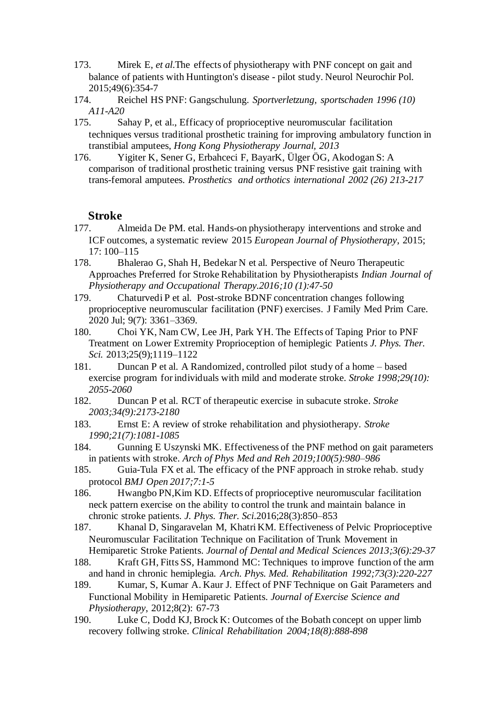- 173. Mirek E, *et al*.The effects of physiotherapy with PNF concept on gait and balance of patients with Huntington's disease - pilot study. Neurol Neurochir Pol. 2015;49(6):354-7
- 174. Reichel HS PNF: Gangschulung. *Sportverletzung, sportschaden 1996 (10) A11-A20*
- 175. Sahay P, et al., Efficacy of proprioceptive neuromuscular facilitation techniques versus traditional prosthetic training for improving ambulatory function in transtibial amputees, *Hong Kong Physiotherapy Journal, 2013*
- 176. Yigiter K, Sener G, Erbahceci F, BayarK, Ülger ÖG, Akodogan S: A comparison of traditional prosthetic training versus PNF resistive gait training with trans-femoral amputees. *Prosthetics and orthotics international 2002 (26) 213-217*

#### **Stroke**

- 177. Almeida De PM. etal. Hands-on physiotherapy interventions and stroke and ICF outcomes, a systematic review 2015 *European Journal of Physiotherapy*, 2015; 17: 100–115
- 178. Bhalerao G, Shah H, Bedekar N et al. Perspective of Neuro Therapeutic Approaches Preferred for Stroke Rehabilitation by Physiotherapists *Indian Journal of Physiotherapy and Occupational Therapy.2016;10 (1):47-50*
- 179. Chaturvedi P et al. Post-stroke BDNF concentration changes following proprioceptive neuromuscular facilitation (PNF) exercises. J Family Med Prim Care. 2020 Jul; 9(7): 3361–3369.
- 180. Choi YK, Nam CW, Lee JH, Park YH. The Effects of Taping Prior to PNF Treatment on Lower Extremity Proprioception of hemiplegic Patients *J. Phys. Ther. Sci.* 2013;25(9);1119–1122
- 181. Duncan P et al. A Randomized, controlled pilot study of a home based exercise program for individuals with mild and moderate stroke. *Stroke 1998;29(10): 2055-2060*
- 182. Duncan P et al. RCT of therapeutic exercise in subacute stroke. *Stroke 2003;34(9):2173-2180*
- 183. Ernst E: A review of stroke rehabilitation and physiotherapy*. Stroke 1990;21(7):1081-1085*
- 184. Gunning E Uszynski MK. Effectiveness of the PNF method on gait parameters in patients with stroke. *Arch of Phys Med and Reh 2019;100(5):980–986*
- 185. Guia-Tula FX et al. The efficacy of the PNF approach in stroke rehab. study protocol *BMJ Open 2017;7:1-5*
- 186. Hwangbo PN,Kim KD. Effects of proprioceptive neuromuscular facilitation neck pattern exercise on the ability to control the trunk and maintain balance in chronic stroke patients. *J. Phys. Ther. Sci*.2016;28(3):850–853
- 187. Khanal D, Singaravelan M, Khatri KM. Effectiveness of Pelvic Proprioceptive Neuromuscular Facilitation Technique on Facilitation of Trunk Movement in Hemiparetic Stroke Patients. *Journal of Dental and Medical Sciences 2013;3(6):29-37*
- 188. Kraft GH, Fitts SS, Hammond MC: Techniques to improve function of the arm and hand in chronic hemiplegia*. Arch. Phys. Med. Rehabilitation 1992;73(3):220-227*
- 189. Kumar, S, Kumar A. Kaur J. Effect of PNF Technique on Gait Parameters and Functional Mobility in Hemiparetic Patients. *Journal of Exercise Science and Physiotherapy*, 2012;8(2): 67-73
- 190. Luke C, Dodd KJ, Brock K: Outcomes of the Bobath concept on upper limb recovery follwing stroke. *Clinical Rehabilitation 2004;18(8):888-898*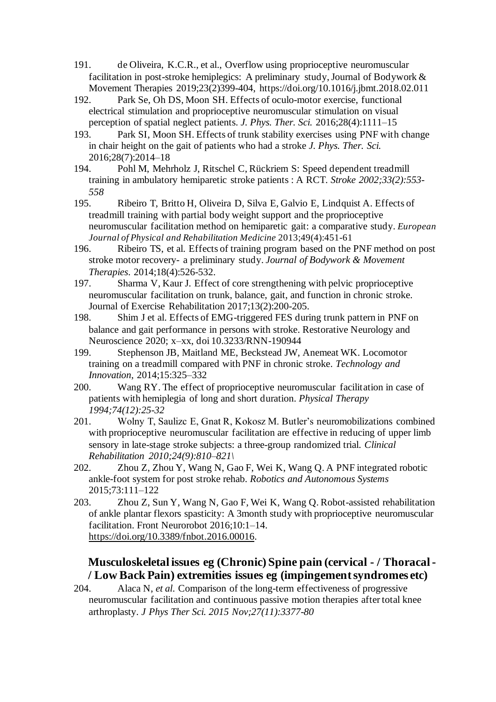- 191. de Oliveira, K.C.R., et al., Overflow using proprioceptive neuromuscular facilitation in post-stroke hemiplegics: A preliminary study, Journal of Bodywork & Movement Therapies 2019;23(2)399-404, https://doi.org/10.1016/j.jbmt.2018.02.011
- 192. Park Se, Oh DS, Moon SH. Effects of oculo-motor exercise, functional electrical stimulation and proprioceptive neuromuscular stimulation on visual perception of spatial neglect patients. *J. Phys. Ther. Sci.* 2016;28(4):1111–15
- 193. Park SI, Moon SH. Effects of trunk stability exercises using PNF with change in chair height on the gait of patients who had a stroke *J. Phys. Ther. Sci.* 2016;28(7):2014–18
- 194. Pohl M, Mehrholz J, Ritschel C, Rückriem S: Speed dependent treadmill training in ambulatory hemiparetic stroke patients : A RCT. *Stroke 2002;33(2):553-* 558<br>195.
- Ribeiro T, Britto H, Oliveira D, Silva E, Galvio E, Lindquist A. Effects of treadmill training with partial body weight support and the proprioceptive neuromuscular facilitation method on hemiparetic gait: a comparative study. *European Journal of Physical and Rehabilitation Medicine* 2013;49(4):451-61
- 196. Ribeiro TS, et al. Effects of training program based on the PNF method on post stroke motor recovery- a preliminary study. *Journal of Bodywork & Movement Therapies*. 2014;18(4):526-532.
- 197. Sharma V, Kaur J. Effect of core strengthening with pelvic proprioceptive neuromuscular facilitation on trunk, balance, gait, and function in chronic stroke. Journal of Exercise Rehabilitation 2017;13(2):200-205.<br>198. Shim J et al. Effects of EMG-triggered FES duri
- Shim J et al. Effects of EMG-triggered FES during trunk pattern in PNF on balance and gait performance in persons with stroke. Restorative Neurology and Neuroscience 2020; x–xx, doi 10.3233/RNN-190944
- 199. Stephenson JB, Maitland ME, Beckstead JW, Anemeat WK. Locomotor training on a treadmill compared with PNF in chronic stroke. *Technology and Innovation*, 2014;15:325–332
- 200. Wang RY. The effect of proprioceptive neuromuscular facilitation in case of patients with hemiplegia of long and short duration. *Physical Therapy 1994;74(12):25-32*
- 201. Wolny T, Saulizc E, Gnat R, Kokosz M. Butler's neuromobilizations combined with proprioceptive neuromuscular facilitation are effective in reducing of upper limb sensory in late-stage stroke subjects: a three-group randomized trial. *Clinical Rehabilitation 2010;24(9):810–821\*
- 202. Zhou Z, Zhou Y, Wang N, Gao F, Wei K, Wang Q. A PNF integrated robotic ankle-foot system for post stroke rehab. *Robotics and Autonomous Systems*  2015;73:111–122
- 203. Zhou Z, Sun Y, Wang N, Gao F, Wei K, Wang Q. Robot-assisted rehabilitation of ankle plantar flexors spasticity: A 3month study with proprioceptive neuromuscular facilitation. Front Neurorobot 2016;10:1–14. [https://doi.org/10.3389/fnbot.2016.00016.](https://doi.org/10.3389/fnbot.2016.00016)

# **Musculoskeletal issues eg (Chronic) Spine pain (cervical - / Thoracal - / Low Back Pain) extremities issues eg (impingementsyndromes etc)**

204. [Alaca N,](http://www.ncbi.nlm.nih.gov/pubmed/?term=Alaca%20N%5BAuthor%5D&cauthor=true&cauthor_uid=26696702) *et al*. Comparison of the long-term effectiveness of progressive neuromuscular facilitation and continuous passive motion therapies after total knee arthroplasty. *[J Phys Ther Sci.](http://www.ncbi.nlm.nih.gov/pubmed/26696702) 2015 Nov;27(11):3377-80*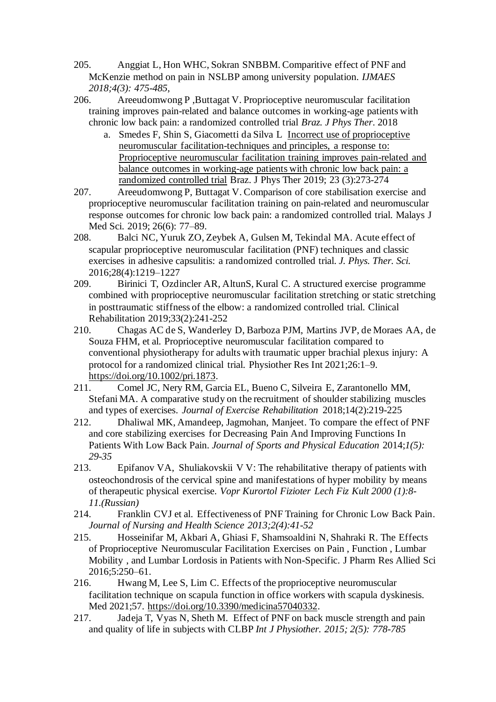- 205. Anggiat L, Hon WHC, Sokran SNBBM. Comparitive effect of PNF and McKenzie method on pain in NSLBP among university population. *IJMAES 2018;4(3): 475-485,*
- 206. Areeudomwong P ,Buttagat V. Proprioceptive neuromuscular facilitation training improves pain-related and balance outcomes in working-age patients with chronic low back pain: a randomized controlled trial *Braz. J Phys Ther*. 2018
	- a. Smedes F, Shin S, Giacometti da Silva L [Incorrect use of proprioceptive](https://www.sciencedirect.com/science/article/pii/S1413355518310505)  [neuromuscular facilitation-techniques and principles, a response to:](https://www.sciencedirect.com/science/article/pii/S1413355518310505)  [Proprioceptive neuromuscular facilitation training improves pain-related and](https://www.sciencedirect.com/science/article/pii/S1413355518310505)  [balance outcomes in working-age patients with chronic low back pain: a](https://www.sciencedirect.com/science/article/pii/S1413355518310505)  [randomized controlled trial](https://www.sciencedirect.com/science/article/pii/S1413355518310505) Braz. J Phys Ther 2019; 23 (3):273-274
- 207. Areeudomwong P, Buttagat V. Comparison of core stabilisation exercise and proprioceptive neuromuscular facilitation training on pain-related and neuromuscular response outcomes for chronic low back pain: a randomized controlled trial. Malays J Med Sci. 2019; 26(6): 77–89.
- 208. Balci NC, Yuruk ZO, Zeybek A, Gulsen M, Tekindal MA. Acute effect of scapular proprioceptive neuromuscular facilitation (PNF) techniques and classic exercises in adhesive capsulitis: a randomized controlled trial. *J. Phys. Ther. Sci.* 2016;28(4):1219–1227
- 209. Birinici T, Ozdincler AR, AltunS, Kural C. A structured exercise programme combined with proprioceptive neuromuscular facilitation stretching or static stretching in posttraumatic stiffness of the elbow: a randomized controlled trial. Clinical Rehabilitation 2019;33(2):241-252
- 210. Chagas AC de S, Wanderley D, Barboza PJM, Martins JVP, de Moraes AA, de Souza FHM, et al. Proprioceptive neuromuscular facilitation compared to conventional physiotherapy for adults with traumatic upper brachial plexus injury: A protocol for a randomized clinical trial. Physiother Res Int 2021;26:1–9. [https://doi.org/10.1002/pri.1873.](https://doi.org/10.1002/pri.1873)
- 211. Comel JC, Nery RM, Garcia EL, Bueno C, Silveira E, Zarantonello MM, Stefani MA. A comparative study on the recruitment of shoulder stabilizing muscles and types of exercises. *Journal of Exercise Rehabilitation* 2018;14(2):219-225
- 212. Dhaliwal MK, Amandeep, Jagmohan, Manjeet. To compare the effect of PNF and core stabilizing exercises for Decreasing Pain And Improving Functions In Patients With Low Back Pain. *Journal of Sports and Physical Education* 2014;*1(5): 29-35*
- 213. Epifanov VA, Shuliakovskii V V: The rehabilitative therapy of patients with osteochondrosis of the cervical spine and manifestations of hyper mobility by means of therapeutic physical exercise. *Vopr Kurortol Fizioter Lech Fiz Kult 2000 (1):8- 11.(Russian)*
- 214. Franklin CVJ et al. Effectiveness of PNF Training for Chronic Low Back Pain. *Journal of Nursing and Health Science 2013;2(4):41-52*
- 215. Hosseinifar M, Akbari A, Ghiasi F, Shamsoaldini N, Shahraki R. The Effects of Proprioceptive Neuromuscular Facilitation Exercises on Pain , Function , Lumbar Mobility , and Lumbar Lordosis in Patients with Non-Specific. J Pharm Res Allied Sci 2016;5:250–61.
- 216. Hwang M, Lee S, Lim C. Effects of the proprioceptive neuromuscular facilitation technique on scapula function in office workers with scapula dyskinesis. Med 2021;57. [https://doi.org/10.3390/medicina57040332.](https://doi.org/10.3390/medicina57040332)
- 217. Jadeja T, Vyas N, Sheth M. Effect of PNF on back muscle strength and pain and quality of life in subjects with CLBP *Int J Physiother. 2015; 2(5): 778-785*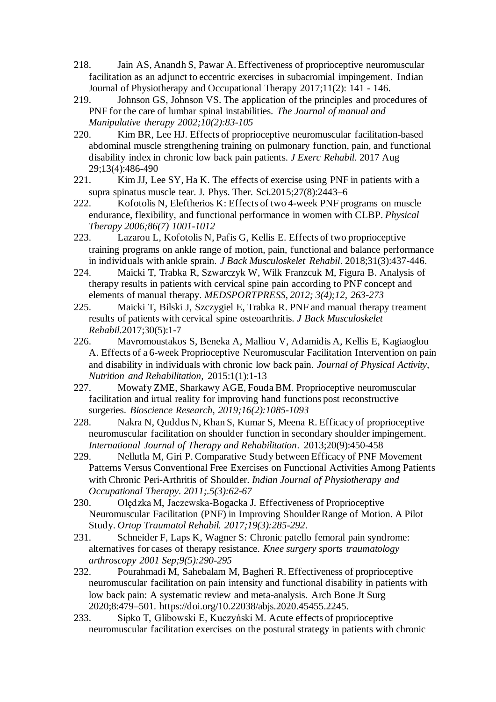- 218. Jain AS, Anandh S, Pawar A. Effectiveness of proprioceptive neuromuscular facilitation as an adjunct to eccentric exercises in subacromial impingement. Indian Journal of Physiotherapy and Occupational Therapy 2017;11(2): 141 - 146.
- 219. Johnson GS, Johnson VS. The application of the principles and procedures of PNF for the care of lumbar spinal instabilities. *The Journal of manual and Manipulative therapy 2002;10(2):83-105*
- 220. Kim BR, Lee HJ. Effects of proprioceptive neuromuscular facilitation-based abdominal muscle strengthening training on pulmonary function, pain, and functional disability index in chronic low back pain patients. *J Exerc Rehabil.* 2017 Aug 29;13(4):486-490
- 221. Kim JJ, Lee SY, Ha K. The effects of exercise using PNF in patients with a supra spinatus muscle tear. J. Phys. Ther. Sci.2015;27(8):2443–6
- 222. Kofotolis N, Eleftherios K: Effects of two 4-week PNF programs on muscle endurance, flexibility, and functional performance in women with CLBP. *Physical Therapy 2006;86(7) 1001-1012*
- 223. [Lazarou L,](https://www.ncbi.nlm.nih.gov/pubmed/?term=Lazarou%20L%5BAuthor%5D&cauthor=true&cauthor_uid=28946541) [Kofotolis N,](https://www.ncbi.nlm.nih.gov/pubmed/?term=Kofotolis%20N%5BAuthor%5D&cauthor=true&cauthor_uid=28946541) [Pafis G,](https://www.ncbi.nlm.nih.gov/pubmed/?term=Pafis%20G%5BAuthor%5D&cauthor=true&cauthor_uid=28946541) [Kellis E.](https://www.ncbi.nlm.nih.gov/pubmed/?term=Kellis%20E%5BAuthor%5D&cauthor=true&cauthor_uid=28946541) Effects of two proprioceptive training programs on ankle range of motion, pain, functional and balance performance in individuals with ankle sprain. *J Back Musculoskelet Rehabil*. 2018;31(3):437-446.
- 224. Maicki T, Trabka R, Szwarczyk W, Wilk Franzcuk M, Figura B. Analysis of therapy results in patients with cervical spine pain according to PNF concept and elements of manual therapy. *MEDSPORTPRESS, 2012; 3(4);12, 263-273*
- 225. Maicki T, Bilski J, Szczygiel E, Trabka R. PNF and manual therapy treament results of patients with cervical spine osteoarthritis. *J Back Musculoskelet Rehabil.*2017;30(5):1-7
- 226. Mavromoustakos S, Beneka A, Malliou V, Adamidis A, Kellis E, Kagiaoglou A. Effects of a 6-week Proprioceptive Neuromuscular Facilitation Intervention on pain and disability in individuals with chronic low back pain. *Journal of Physical Activity, Nutrition and Rehabilitation,* 2015:1(1):1-13
- 227. Mowafy ZME, Sharkawy AGE, Fouda BM. Proprioceptive neuromuscular facilitation and irtual reality for improving hand functions post reconstructive surgeries. *Bioscience Research, 2019;16(2):1085-1093*
- 228. Nakra N, Quddus N, Khan S, Kumar S, Meena R. Efficacy of proprioceptive neuromuscular facilitation on shoulder function in secondary shoulder impingement. *International Journal of Therapy and Rehabilitation*. 2013;20(9):450-458
- 229. Nellutla M, Giri P. Comparative Study between Efficacy of PNF Movement Patterns Versus Conventional Free Exercises on Functional Activities Among Patients with Chronic Peri-Arthritis of Shoulder. *Indian Journal of Physiotherapy and Occupational Therapy. 2011;.5(3):62-67*
- 230. Olędzka M, Jaczewska-Bogacka J. Effectiveness of Proprioceptive Neuromuscular Facilitation (PNF) in Improving Shoulder Range of Motion. A Pilot Study. *Ortop Traumatol Rehabil. 2017;19(3):285-292*.
- 231. Schneider F, Laps K, Wagner S: Chronic patello femoral pain syndrome: alternatives for cases of therapy resistance. *Knee surgery sports traumatology arthroscopy 2001 Sep;9(5):290-295*
- 232. Pourahmadi M, Sahebalam M, Bagheri R. Effectiveness of proprioceptive neuromuscular facilitation on pain intensity and functional disability in patients with low back pain: A systematic review and meta-analysis. Arch Bone Jt Surg 2020;8:479–501. [https://doi.org/10.22038/abjs.2020.45455.2245.](https://doi.org/10.22038/abjs.2020.45455.2245)
- 233. Sipko T, Glibowski E, Kuczyński M. Acute effects of proprioceptive neuromuscular facilitation exercises on the postural strategy in patients with chronic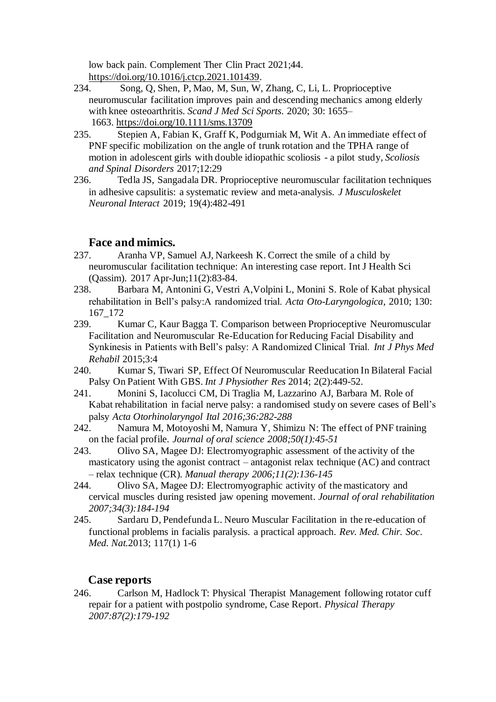low back pain. Complement Ther Clin Pract 2021;44. [https://doi.org/10.1016/j.ctcp.2021.101439.](https://doi.org/10.1016/j.ctcp.2021.101439)<br>234. Song. O. Shen, P. Mao, M. Sun, W.

- 234. Song, Q, Shen, P, Mao, M, Sun, W, Zhang, C, Li, L. Proprioceptive neuromuscular facilitation improves pain and descending mechanics among elderly with knee osteoarthritis. *Scand J Med Sci Sports*. 2020; 30: 1655– 1663. <https://doi.org/10.1111/sms.13709>
- 235. Stepien A, Fabian K, Graff K, Podgurniak M, Wit A. An immediate effect of PNF specific mobilization on the angle of trunk rotation and the TPHA range of motion in adolescent girls with double idiopathic scoliosis - a pilot study, *Scoliosis and Spinal Disorders* 2017;12:29
- 236. Tedla JS, Sangadala DR. Proprioceptive neuromuscular facilitation techniques in adhesive capsulitis: a systematic review and meta-analysis. *J Musculoskelet Neuronal Interact* 2019; 19(4):482-491

## **Face and mimics.**

- 237. Aranha VP, Samuel AJ, Narkeesh K. Correct the smile of a child by neuromuscular facilitation technique: An interesting case report. Int J Health Sci (Qassim). 2017 Apr-Jun;11(2):83-84.
- 238. Barbara M, Antonini G, Vestri A,Volpini L, Monini S. Role of Kabat physical rehabilitation in Bell's palsy:A randomized trial. *Acta Oto-Laryngologica*, 2010; 130:  $167\_172$ <br>239. K
- 239. Kumar C, Kaur Bagga T. Comparison between Proprioceptive Neuromuscular Facilitation and Neuromuscular Re-Education for Reducing Facial Disability and Synkinesis in Patients with Bell's palsy: A Randomized Clinical Trial. *Int J Phys Med Rehabil* 2015;3:4
- 240. Kumar S, Tiwari SP, Effect Of Neuromuscular Reeducation In Bilateral Facial Palsy On Patient With GBS. *Int J Physiother Res* 2014; 2(2):449-52.
- 241. Monini S, Iacolucci CM, Di Traglia M, Lazzarino AJ, Barbara M. Role of Kabat rehabilitation in facial nerve palsy: a randomised study on severe cases of Bell's palsy *Acta Otorhinolaryngol Ital 2016;36:282-288*
- 242. Namura M, Motoyoshi M, Namura Y, Shimizu N: The effect of PNF training on the facial profile. *Journal of oral science 2008;50(1):45-51*
- 243. Olivo SA, Magee DJ: Electromyographic assessment of the activity of the masticatory using the agonist contract – antagonist relax technique (AC) and contract – relax technique (CR). *Manual therapy 2006;11(2):136-145*
- 244. Olivo SA, Magee DJ: Electromyographic activity of the masticatory and cervical muscles during resisted jaw opening movement. *Journal of oral rehabilitation 2007;34(3):184-194*
- 245. Sardaru D, Pendefunda L. Neuro Muscular Facilitation in the re-education of functional problems in facialis paralysis. a practical approach. *Rev. Med. Chir. Soc. Med. Nat.*2013; 117(1) 1-6

#### **Case reports**

246. Carlson M, Hadlock T: Physical Therapist Management following rotator cuff repair for a patient with postpolio syndrome, Case Report. *Physical Therapy 2007:87(2):179-192*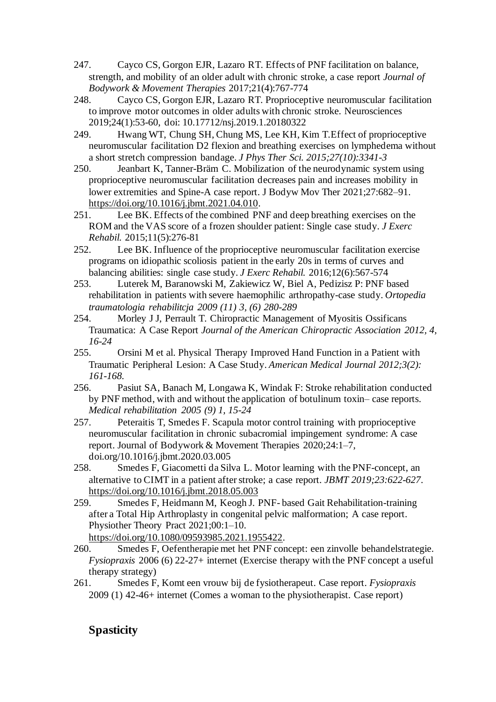- 247. Cayco CS, Gorgon EJR, Lazaro RT. Effects of PNF facilitation on balance, strength, and mobility of an older adult with chronic stroke, a case report *Journal of Bodywork & Movement Therapies* 2017;21(4):767-774
- 248. Cayco CS, Gorgon EJR, Lazaro RT. Proprioceptive neuromuscular facilitation to improve motor outcomes in older adults with chronic stroke. Neurosciences 2019;24(1):53-60, doi: 10.17712/nsj.2019.1.20180322
- 249. Hwang WT, Chung SH, Chung MS, Lee KH, Kim T[.Effect of proprioceptive](http://www.ncbi.nlm.nih.gov/pubmed/26644706) neuromuscular facilitation [D2 flexion and breathing exercises on lymphedema without](http://www.ncbi.nlm.nih.gov/pubmed/26644706)  [a short stretch compression bandage.](http://www.ncbi.nlm.nih.gov/pubmed/26644706) *J Phys Ther Sci. 2015;27(10):3341-3*
- 250. Jeanbart K, Tanner-Bräm C. Mobilization of the neurodynamic system using proprioceptive neuromuscular facilitation decreases pain and increases mobility in lower extremities and Spine-A case report. J Bodyw Mov Ther 2021;27:682–91. [https://doi.org/10.1016/j.jbmt.2021.04.010.](https://doi.org/10.1016/j.jbmt.2021.04.010)
- 251. [Lee BK.](http://www.ncbi.nlm.nih.gov/pubmed/?term=Lee%20BK%5BAuthor%5D&cauthor=true&cauthor_uid=26535219) Effects of the combined PNF and deep breathing exercises on the ROM and the VAS score of a frozen shoulder patient: Single case study. *[J Exerc](http://www.ncbi.nlm.nih.gov/pubmed/26535219)  [Rehabil.](http://www.ncbi.nlm.nih.gov/pubmed/26535219)* 2015;11(5):276-81
- 252. Lee BK. Influence of the proprioceptive neuromuscular facilitation exercise programs on idiopathic scoliosis patient in the early 20s in terms of curves and balancing abilities: single case study. *[J Exerc Rehabil.](http://www.ncbi.nlm.nih.gov/pubmed/26535219)* 2016;12(6):567-574
- 253. Luterek M, Baranowski M, Zakiewicz W, Biel A, Pedizisz P: PNF based rehabilitation in patients with severe haemophilic arthropathy-case study. *Ortopedia traumatologia rehabilitcja 2009 (11) 3, (6) 280-289*
- 254. Morley J J, Perrault T. Chiropractic Management of Myositis Ossificans Traumatica: A Case Report *Journal of the American Chiropractic Association 2012, 4, 16-24*
- 255. Orsini M et al. Physical Therapy Improved Hand Function in a Patient with Traumatic Peripheral Lesion: A Case Study. *American Medical Journal 2012;3(2): 161-168.*
- 256. Pasiut SA, Banach M, Longawa K, Windak F: Stroke rehabilitation conducted by PNF method, with and without the application of botulinum toxin– case reports. *Medical rehabilitation 2005 (9) 1, 15-24*
- 257. Peteraitis T, Smedes F. Scapula motor control training with proprioceptive neuromuscular facilitation in chronic subacromial impingement syndrome: A case report. Journal of Bodywork & Movement Therapies 2020;24:1–7, doi.org/10.1016/j.jbmt.2020.03.005
- 258. Smedes F, Giacometti da Silva L. Motor learning with the PNF-concept, an alternative to CIMT in a patient after stroke; a case report. *JBMT 2019;23:622-627*. <https://doi.org/10.1016/j.jbmt.2018.05.003>
- 259. Smedes F, Heidmann M, Keogh J. PNF- based Gait Rehabilitation-training after a Total Hip Arthroplasty in congenital pelvic malformation; A case report. Physiother Theory Pract 2021;00:1–10.
	- [https://doi.org/10.1080/09593985.2021.1955422.](https://doi.org/10.1080/09593985.2021.1955422)
- 260. Smedes F, Oefentherapie met het PNF concept: een zinvolle behandelstrategie. *Fysiopraxis* 2006 (6) 22-27+ internet (Exercise therapy with the PNF concept a useful therapy strategy)
- 261. Smedes F, Komt een vrouw bij de fysiotherapeut. Case report. *Fysiopraxis* 2009 (1) 42-46+ internet (Comes a woman to the physiotherapist. Case report)

# **Spasticity**